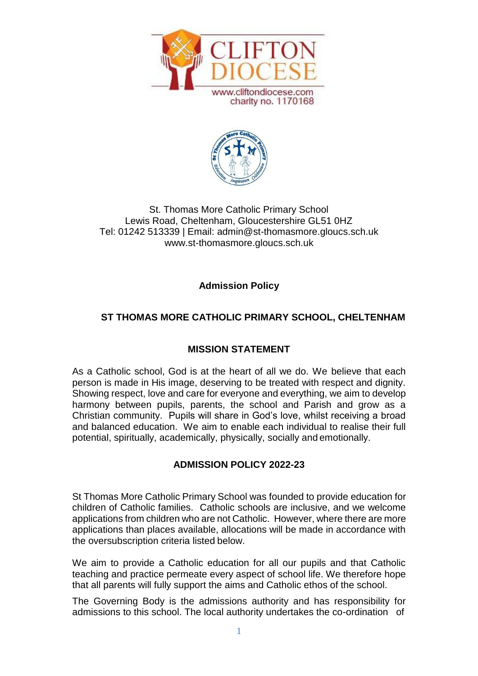



# St. Thomas More Catholic Primary School Lewis Road, Cheltenham, Gloucestershire GL51 0HZ Tel: 01242 513339 | Email: [admin@st-thomasmore.gloucs.sch.uk](mailto:admin@st-thomasmore.gloucs.sch.uk) [www.st-thomasmore.gloucs.sch.uk](http://www.st-thomasmore.gloucs.sch.uk/)

**Admission Policy**

# **ST THOMAS MORE CATHOLIC PRIMARY SCHOOL, CHELTENHAM**

# **MISSION STATEMENT**

As a Catholic school, God is at the heart of all we do. We believe that each person is made in His image, deserving to be treated with respect and dignity. Showing respect, love and care for everyone and everything, we aim to develop harmony between pupils, parents, the school and Parish and grow as a Christian community. Pupils will share in God's love, whilst receiving a broad and balanced education. We aim to enable each individual to realise their full potential, spiritually, academically, physically, socially and emotionally.

# **ADMISSION POLICY 2022-23**

St Thomas More Catholic Primary School was founded to provide education for children of Catholic families. Catholic schools are inclusive, and we welcome applications from children who are not Catholic. However, where there are more applications than places available, allocations will be made in accordance with the oversubscription criteria listed below.

We aim to provide a Catholic education for all our pupils and that Catholic teaching and practice permeate every aspect of school life. We therefore hope that all parents will fully support the aims and Catholic ethos of the school.

The Governing Body is the admissions authority and has responsibility for admissions to this school. The local authority undertakes the co-ordination of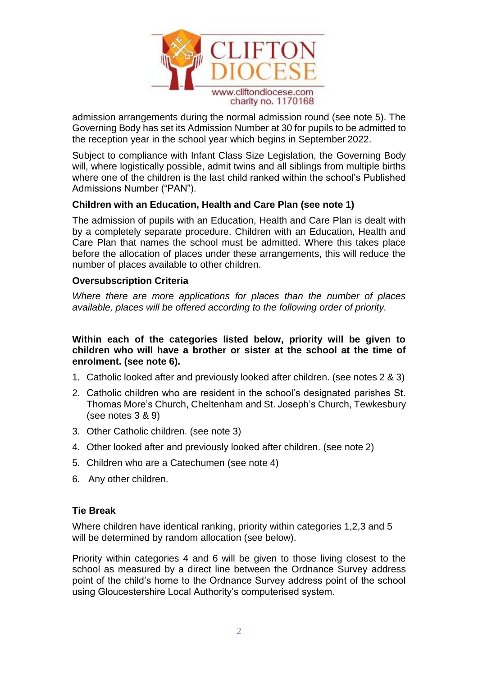

admission arrangements during the normal admission round (see note 5). The Governing Body has set its Admission Number at 30 for pupils to be admitted to the reception year in the school year which begins in September 2022.

Subject to compliance with Infant Class Size Legislation, the Governing Body will, where logistically possible, admit twins and all siblings from multiple births where one of the children is the last child ranked within the school's Published Admissions Number ("PAN").

#### **Children with an Education, Health and Care Plan (see note 1)**

The admission of pupils with an Education, Health and Care Plan is dealt with by a completely separate procedure. Children with an Education, Health and Care Plan that names the school must be admitted. Where this takes place before the allocation of places under these arrangements, this will reduce the number of places available to other children.

#### **Oversubscription Criteria**

*Where there are more applications for places than the number of places available, places will be offered according to the following order of priority.*

**Within each of the categories listed below, priority will be given to children who will have a brother or sister at the school at the time of enrolment. (see note 6).**

- 1. Catholic looked after and previously looked after children. (see notes 2 & 3)
- 2. Catholic children who are resident in the school's designated parishes St. Thomas More's Church, Cheltenham and St. Joseph's Church, Tewkesbury (see notes 3 & 9)
- 3. Other Catholic children. (see note 3)
- 4. Other looked after and previously looked after children. (see note 2)
- 5. Children who are a Catechumen (see note 4)
- 6. Any other children.

#### **Tie Break**

Where children have identical ranking, priority within categories 1,2,3 and 5 will be determined by random allocation (see below).

Priority within categories 4 and 6 will be given to those living closest to the school as measured by a direct line between the Ordnance Survey address point of the child's home to the Ordnance Survey address point of the school using Gloucestershire Local Authority's computerised system.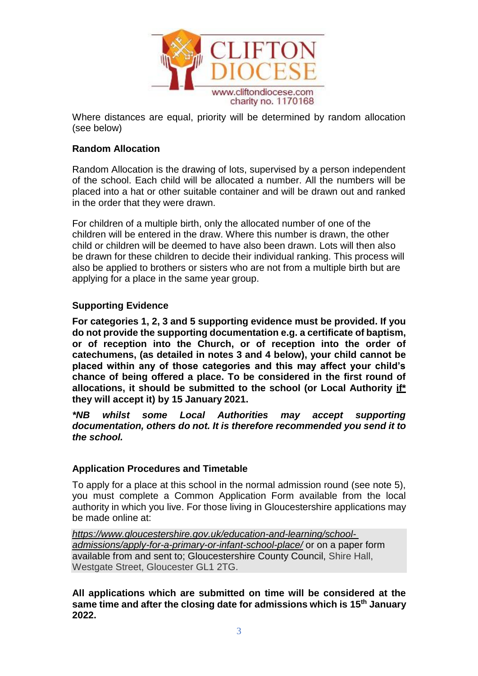

Where distances are equal, priority will be determined by random allocation (see below)

# **Random Allocation**

Random Allocation is the drawing of lots, supervised by a person independent of the school. Each child will be allocated a number. All the numbers will be placed into a hat or other suitable container and will be drawn out and ranked in the order that they were drawn.

For children of a multiple birth, only the allocated number of one of the children will be entered in the draw. Where this number is drawn, the other child or children will be deemed to have also been drawn. Lots will then also be drawn for these children to decide their individual ranking. This process will also be applied to brothers or sisters who are not from a multiple birth but are applying for a place in the same year group.

## **Supporting Evidence**

**For categories 1, 2, 3 and 5 supporting evidence must be provided. If you do not provide the supporting documentation e.g. a certificate of baptism, or of reception into the Church, or of reception into the order of catechumens, (as detailed in notes 3 and 4 below), your child cannot be placed within any of those categories and this may affect your child's chance of being offered a place. To be considered in the first round of allocations, it should be submitted to the school (or Local Authority if\* they will accept it) by 15 January 2021.**

*\*NB whilst some Local Authorities may accept supporting documentation, others do not. It is therefore recommended you send it to the school.*

#### **Application Procedures and Timetable**

To apply for a place at this school in the normal admission round (see note 5), you must complete a Common Application Form available from the local authority in which you live. For those living in Gloucestershire applications may be made online at:

*[https://www.gloucestershire.gov.uk/education-and-learning/school](https://www.gloucestershire.gov.uk/education-and-learning/school-admissions/apply-for-a-primary-or-infant-school-place/)[admissions/apply-for-a-primary-or-infant-school-place/](https://www.gloucestershire.gov.uk/education-and-learning/school-admissions/apply-for-a-primary-or-infant-school-place/)* or on a paper form available from and sent to; Gloucestershire County Council, Shire Hall, Westgate Street, Gloucester GL1 2TG.

**All applications which are submitted on time will be considered at the same time and after the closing date for admissions which is 15th January 2022.**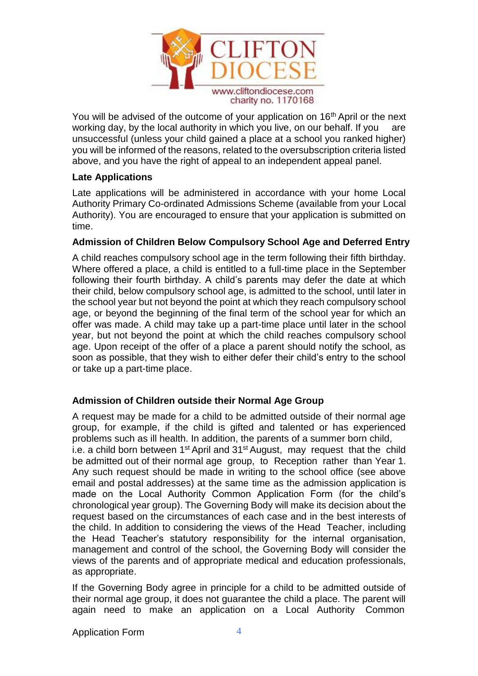

You will be advised of the outcome of your application on 16<sup>th</sup> April or the next working day, by the local authority in which you live, on our behalf. If you are unsuccessful (unless your child gained a place at a school you ranked higher) you will be informed of the reasons, related to the oversubscription criteria listed above, and you have the right of appeal to an independent appeal panel.

#### **Late Applications**

Late applications will be administered in accordance with your home Local Authority Primary Co-ordinated Admissions Scheme (available from your Local Authority). You are encouraged to ensure that your application is submitted on time.

## **Admission of Children Below Compulsory School Age and Deferred Entry**

A child reaches compulsory school age in the term following their fifth birthday. Where offered a place, a child is entitled to a full-time place in the September following their fourth birthday. A child's parents may defer the date at which their child, below compulsory school age, is admitted to the school, until later in the school year but not beyond the point at which they reach compulsory school age, or beyond the beginning of the final term of the school year for which an offer was made. A child may take up a part-time place until later in the school year, but not beyond the point at which the child reaches compulsory school age. Upon receipt of the offer of a place a parent should notify the school, as soon as possible, that they wish to either defer their child's entry to the school or take up a part-time place.

# **Admission of Children outside their Normal Age Group**

A request may be made for a child to be admitted outside of their normal age group, for example, if the child is gifted and talented or has experienced problems such as ill health. In addition, the parents of a summer born child, i.e. a child born between  $1<sup>st</sup>$  April and  $31<sup>st</sup>$  August, may request that the child be admitted out of their normal age group, to Reception rather than Year 1. Any such request should be made in writing to the school office (see above email and postal addresses) at the same time as the admission application is made on the Local Authority Common Application Form (for the child's chronological year group). The Governing Body will make its decision about the request based on the circumstances of each case and in the best interests of the child. In addition to considering the views of the Head Teacher, including the Head Teacher's statutory responsibility for the internal organisation, management and control of the school, the Governing Body will consider the views of the parents and of appropriate medical and education professionals, as appropriate.

If the Governing Body agree in principle for a child to be admitted outside of their normal age group, it does not guarantee the child a place. The parent will again need to make an application on a Local Authority Common

Application Form 4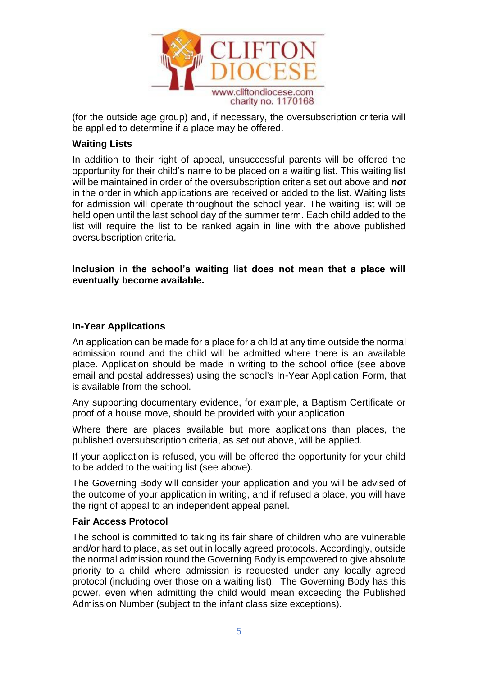

(for the outside age group) and, if necessary, the oversubscription criteria will be applied to determine if a place may be offered.

#### **Waiting Lists**

In addition to their right of appeal, unsuccessful parents will be offered the opportunity for their child's name to be placed on a waiting list. This waiting list will be maintained in order of the oversubscription criteria set out above and *not*  in the order in which applications are received or added to the list. Waiting lists for admission will operate throughout the school year. The waiting list will be held open until the last school day of the summer term. Each child added to the list will require the list to be ranked again in line with the above published oversubscription criteria.

**Inclusion in the school's waiting list does not mean that a place will eventually become available.**

#### **In-Year Applications**

An application can be made for a place for a child at any time outside the normal admission round and the child will be admitted where there is an available place. Application should be made in writing to the school office (see above email and postal addresses) using the school's In-Year Application Form, that is available from the school.

Any supporting documentary evidence, for example, a Baptism Certificate or proof of a house move, should be provided with your application.

Where there are places available but more applications than places, the published oversubscription criteria, as set out above, will be applied.

If your application is refused, you will be offered the opportunity for your child to be added to the waiting list (see above).

The Governing Body will consider your application and you will be advised of the outcome of your application in writing, and if refused a place, you will have the right of appeal to an independent appeal panel.

#### **Fair Access Protocol**

The school is committed to taking its fair share of children who are vulnerable and/or hard to place, as set out in locally agreed protocols. Accordingly, outside the normal admission round the Governing Body is empowered to give absolute priority to a child where admission is requested under any locally agreed protocol (including over those on a waiting list). The Governing Body has this power, even when admitting the child would mean exceeding the Published Admission Number (subject to the infant class size exceptions).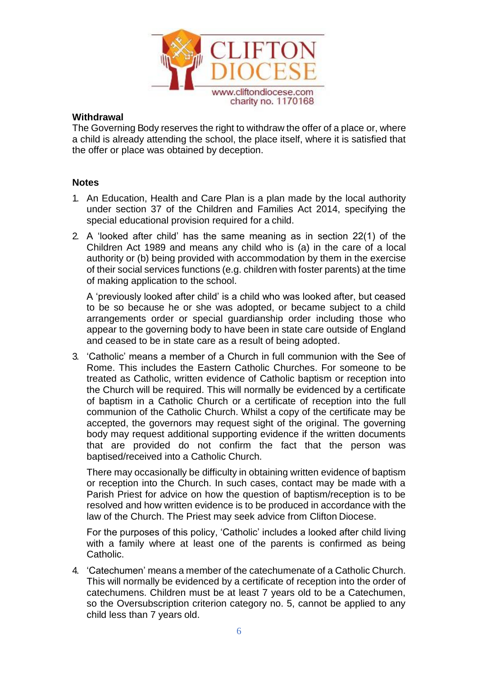

#### **Withdrawal**

The Governing Body reserves the right to withdraw the offer of a place or, where a child is already attending the school, the place itself, where it is satisfied that the offer or place was obtained by deception.

## **Notes**

- 1. An Education, Health and Care Plan is a plan made by the local authority under section 37 of the Children and Families Act 2014, specifying the special educational provision required for a child.
- 2. A 'looked after child' has the same meaning as in section 22(1) of the Children Act 1989 and means any child who is (a) in the care of a local authority or (b) being provided with accommodation by them in the exercise of their social services functions (e.g. children with foster parents) at the time of making application to the school.

A 'previously looked after child' is a child who was looked after, but ceased to be so because he or she was adopted, or became subject to a child arrangements order or special guardianship order including those who appear to the governing body to have been in state care outside of England and ceased to be in state care as a result of being adopted.

3. 'Catholic' means a member of a Church in full communion with the See of Rome. This includes the Eastern Catholic Churches. For someone to be treated as Catholic, written evidence of Catholic baptism or reception into the Church will be required. This will normally be evidenced by a certificate of baptism in a Catholic Church or a certificate of reception into the full communion of the Catholic Church. Whilst a copy of the certificate may be accepted, the governors may request sight of the original. The governing body may request additional supporting evidence if the written documents that are provided do not confirm the fact that the person was baptised/received into a Catholic Church.

There may occasionally be difficulty in obtaining written evidence of baptism or reception into the Church. In such cases, contact may be made with a Parish Priest for advice on how the question of baptism/reception is to be resolved and how written evidence is to be produced in accordance with the law of the Church. The Priest may seek advice from Clifton Diocese.

For the purposes of this policy, 'Catholic' includes a looked after child living with a family where at least one of the parents is confirmed as being Catholic.

4. 'Catechumen' means a member of the catechumenate of a Catholic Church. This will normally be evidenced by a certificate of reception into the order of catechumens. Children must be at least 7 years old to be a Catechumen, so the Oversubscription criterion category no. 5, cannot be applied to any child less than 7 years old.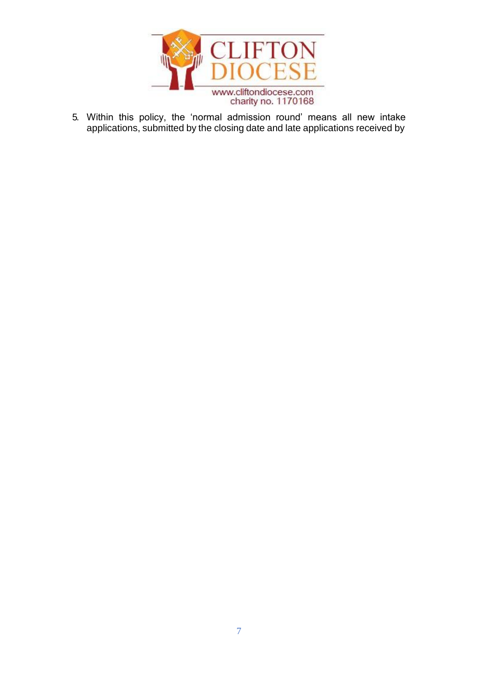

5. Within this policy, the 'normal admission round' means all new intake applications, submitted by the closing date and late applications received by